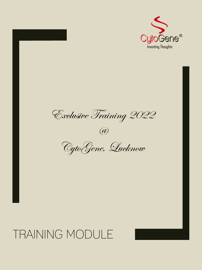

Exclusive Training 2022

 $\bigcirc\!\!\!\!a$ 

CytoGene, Lucknow

## TRAINING MODULE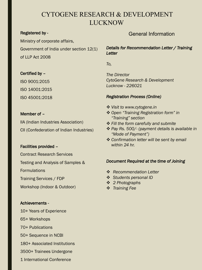## CYTOGENE RESEARCH & DEVELOPMENT LUCKNOW

#### Registered by -

Ministry of corporate affairs, Government of India under section 12(1) of LLP Act 2008

#### Certified by –

ISO 9001:2015 ISO 14001:2015 ISO 45001:2018

#### Member of –

IIA (Indian Industries Association) CII (Confederation of Indian Industries)

#### Facilities provided –

Contract Research Services

Testing and Analysis of Samples &

Formulations

Training Services / FDP

Workshop (Indoor & Outdoor)

#### Achievements -

- 10+ Years of Experience
- 65+ Workshops
- 70+ Publications
- 50+ Sequence in NCBI
- 180+ Associated Institutions
- 3500+ Trainees Undergone
- 1 International Conference

#### General Information

*Details for Recommendation Letter / Training Letter*

*To,*

*The Director CytoGene Research & Development Lucknow - 226021*

#### *Registration Process (Online)*

- **❖** Visit to www.cytogene.in
- v *Open "Training Registration form" in "Training" section*
- v *Fill the form carefully and submite*
- v *Pay Rs. 500/- (payment details is available in "Mode of Payment")*
- v *Confirmation letter will be sent by email within 24 hr.*

#### *Document Required at the time of Joining*

- v *Recommendation Letter*
- v *Students personal ID*
- v *2 Photographs*
- v *Training Fee*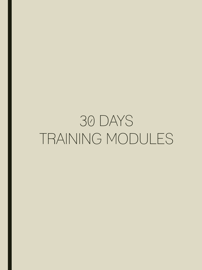## 30 DAYS TRAINING MODULES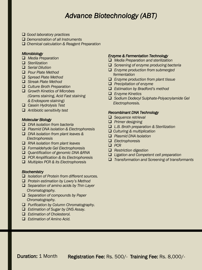## *Advance Biotechnology (ABT)*

- q *Good laboratory practices*
- q *Demonstration of all Instruments*
- q *Chemical calculation & Reagent Preparation*

#### *Microbiology*

- q *Media Preparation*
- q *Sterilization*
- q *Serial Dilution*
- q *Pour Plate Method*
- □ *Spread Plate Method*
- **Q** Streak Plate Method
- q *Culture Broth Preparation*
- q *Growth Kinetics of Microbes (Grams staining, Acid Fast staining & Endospore staining)*
- q *Casein Hydrolysis Test*
- q *Antibiotic sensitivity test*

#### *Molecular Biology*

- □ *DNA isolation from bacteria*
- q *Plasmid DNA isolation & Electrophoresis*
- q *DNA isolation from plant leaves & Electrophoresis*
- q *RNA isolation from plant leaves*
- q *Formaldehyde Gel Electrophoresis*
- q *Quantification of genomic DNA &RNA*
- q *PCR Amplification & its Electrophoresis*
- q *Multiplex PCR & its Electrophoresis*

#### *Biochemistry*

- □ *Isolation of Protein from different sources.*
- q *Protein estimation by Lowry's Method*
- q *Separation of amino acids by Thin Layer Chromatography.*
- q *Separation of compounds by Paper Chromatography.*
- q *Purification by Column Chromatography.*
- q *Estimation of Sugar by DNS Assay.*
- □ *Estimation of Cholesterol.*
- □ *Estimation of Amino Acid.*

#### *Enzyme & Fermentation Technology*

- q *Media Preparation and sterilization*
- **□** Screening of enzyme producing bacteria
- q *Enzyme production from submerged fermentation*
- q *Enzyme production from plant tissue*
- $\Box$  *Precipitation of enzyme*
- □ *Estimation by Bradford's method*
- q *Enzyme Kinetics*
- q *Sodium Dodecyl Sulphate-Polyacrylamide Gel Electrophoresis.*

#### *Recombinant DNA Technology*

- □ Sequence retrieval
- **Q** *Primer designing*
- q *L.B. Broth preparation & Sterilization*
- q *Culturing & multiplication*
- q *Plasmid DNA Isolation*
- q *Electrophoresis*
- q *PCR*
- **Q** *Restriction digestion*
- q *Ligation and Competent cell preparation*
- □ *Transformation and Screening of transformants*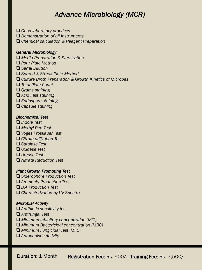## *Advance Microbiology (MCR)*

- q *Good laboratory practices*
- □ *Demonstration of all Instruments*
- □ Chemical calculation & Reagent Preparation

#### *General Microbiology*

- q *Media Preparation & Sterilization*
- q *Pour Plate Method*
- q *Serial Dilution*
- □ Spread & Streak Plate Method
- □ Culture Broth Preparation & Growth Kinetics of Microbes
- q *Total Plate Count*
- **□** Grams staining
- □ Acid Fast staining
- □ *Endospore staining*
- **□ Capsule staining**

#### *Biochemical Test*

- q *Indole Test*
- q *Methyl Red Test*
- q *Voges Proskauer Test*
- q *Citrate utilization Test*
- q *Catalase Test*
- □ *Oxidase Test*
- q *Urease Test*
- q *Nitrate Reduction Test*

#### *Plant Growth Promoting Test*

- □ *Siderophore Production Test*
- q *Ammonia Production Test*
- □ *IAA Production Test*
- □ *Characterization by UV Spectra*

#### *Microbial Activity*

- q *Antibiotic sensitivity test*
- q *Antifungal Test*
- □ *Minimum Inhibitory concentration (MIC)*
- □ *Minimum Bactericidal concentration (MBC)*
- **□ Minimum Fungicidal Test (MFC)**
- □ Antagonistic Activity

Duration: 1 Month Registration Fee: Rs. 500/- Training Fee: Rs. 7,500/-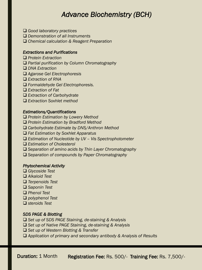## *Advance Biochemistry (BCH)*

- q *Good laboratory practices*
- q *Demonstration of all Instruments*
- □ Chemical calculation & Reagent Preparation

#### *Extractions and Purifications*

- □ *Protein Extraction*
- □ Partial purification by Column Chromatography
- q *DNA Extraction*
- q *Agarose Gel Electrophoresis*
- □ *Extraction of RNA*
- q *Formaldehyde Gel Electrophoresis.*
- q *Extraction of Fat*
- □ *Extraction of Carbohydrate*
- q *Extraction Soxhlet method*

#### *Estimations/Quantifications*

- □ Protein Estimation by Lowery Method
- q *Protein Estimation by Bradford Method*
- □ Carbohydrate Estimate by DNS/Anthron Method
- q *Fat Estimation by Soxhlet Apparatus*
- q *Estimation of Nucleotide by UV – Vis Spectrophotometer*
- □ *Estimation of Cholesterol*
- q *Separation of amino acids by Thin Layer Chromatography*
- □ Separation of compounds by Paper Chromatography

#### *Phytochemical Activity*

- q *Glycoside Test*
- q *Alkaloid Test*
- q *Terpenoids Test*
- q *Saponin Test*
- q *Phenol Test*
- q *polyphenol Test*
- q *steroids Test*

#### *SDS PAGE & Blotting*

- q *Set up of SDS PAGE Staining, de-staining & Analysis*
- □ Set up of Native PAGE Staining, de-staining & Analysis
- q *Set up of Western Blotting & Transfer*
- □ Application of primary and secondary antibody & Analysis of Results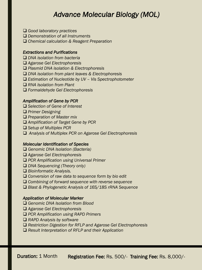## *Advance Molecular Biology (MOL)*

- q *Good laboratory practices*
- □ *Demonstration of all Instruments*
- □ Chemical calculation & Reagent Preparation

#### *Extractions and Purifications*

- □ *DNA isolation from bacteria*
- q *Agarose Gel Electrophoresis*
- q *Plasmid DNA isolation & Electrophoresis*
- □ *DNA isolation from plant leaves & Electrophoresis*
- q *Estimation of Nucleotide by UV – Vis Spectrophotometer*
- □ RNA *Isolation from Plant*
- q *Formaldehyde Gel Electrophoresis*

#### *Amplification of Gene by PCR*

- □ Selection of Gene of Interest
- **□ Primer Designing**
- **□ Preparation of Master mix**
- q *Amplification of Target Gene by PCR*
- q *Setup of Multiplex PCR*
- q *Analysis of Multiplex PCR on Agarose Gel Electrophoresis*

#### *Molecular Identification of Species*

- □ Genomic DNA *Isolation (Bacteria)*
- q *Agarose Gel Electrophoresis*
- q *PCR Amplification using Universal Primer*
- □ *DNA Sequencing (Theory only)*
- □ *Bioinformatic Analysis.*
- □ Conversion of raw data to sequence form by bio edit
- **□ Combining of forward sequence with reverse sequence**
- **□ Blast & Phylogenetic Analysis of 16S/18S rRNA Sequence**

#### *Application of Molecular Marker*

- □ Genomic DNA Isolation from Blood
- q *Agarose Gel Electrophoresis*
- q *PCR Amplification using RAPD Primers*
- □ RAPD Analysis by software
- □ Restriction Digestion for RFLP and Agarose Gel Electrophoresis
- □ Result Interpretation of RFLP and their Application

Duration: 1 Month Registration Fee: Rs. 500/- Training Fee: Rs. 8,000/-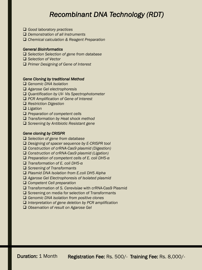## *Recombinant DNA Technology (RDT)*

- q *Good laboratory practices*
- □ *Demonstration of all Instruments*
- □ Chemical calculation & Reagent Preparation

#### *General Bioinformatics*

- **□** Selection Selection of gene from database
- **□** Selection of Vector
- q *Primer Designing of Gene of Interest*

#### *Gene Cloning by traditional Method*

- □ Genomic DNA *Isolation*
- q *Agarose Gel electrophoresis*
- q *Quantification by UV- Vis Spectrophotometer*
- q *PCR Amplification of Gene of Interest*
- q *Restriction Digestion*
- □ *Ligation*
- **□** Preparation of competent cells
- q *Transformation by Heat shock method*
- □ Screening by Antibiotic Resistant gene

#### *Gene cloning by CRISPR*

- **□** Selection of gene from database
- □ *Designing of spacer sequence by E-CRISPR tool*
- □ Construction of crRNA-Cas9 plasmid (Digestion)
- □ *Construction of crRNA-Cas9 plasmid (Ligation)*
- q *Preparation of competent cells of E. coli DH5-α*
- q *Transformation of E. coli DH5-α*
- **□** Screening of Transformants
- q *Plasmid DNA Isolation from E.coli DH5 Alpha*
- □ Agarose Gel Electrophoresis of Isolated plasmid
- **□ Competent Cell preparation**
- q Transformation of *S. Cerevisiae* with crRNA-Cas9 Plasmid
- $\square$  Screening on media for selection of Transformants
- □ Genomic DNA isolation from positive clones
- □ *Interpretation of gene deletion by PCR amplification*
- q *Observation of result on Agarose Gel*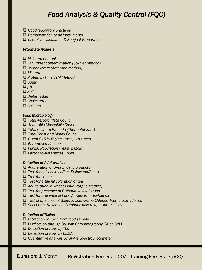## *Food Analysis & Quality Control (FQC)*

- q *Good laboratory practices*
- q *Demonstration of all Instruments*
- **□** Chemical calculation & Reagent Preparation

#### *Proximate Analysis*

- □ *Moisture Content*
- □ Fat Content determination (Soxhlet method)
- q *Carbohydrate (Anthrone method)*
- □ *Mineral*
- q *Protein by Khjeldahl Method*
- □ *Sugar*
- $\Box$  *pH*
- q *Salt*
- □ *Dietary Fiber*
- q *Cholesterol*
- □ *Calcium*

#### *Food Microbiology*

- q *Total Aerobic Plate Count*
- □ Anaerobic Mesophilic Count
- q *Total Coliform Bacteria (Thermotolerant)*
- q *Total Yeast and Mould Count*
- q *E. coli O157:H7 (Presence / Absence)*
- q *Enterobacteriaceae*
- q *Fungal Population (Yeast & Mold)*
- q *Lactobacillus species Count*

#### *Detection of Adulterations*

- □ *Adulteration of Urea in dairy products*
- q *Test for chicory in coffee (Selinwanoff test)*
- □ *Test for lie tea*
- q *Test for artificial coloration of tea*
- □ *Adulteration in Wheat Flour (Vogel's Method)*
- q *Test for presence of Galbnum in Asafoetida*
- q *Test for presence of Foreign Resins in Asafoetida*
- q *Test of presence of Salicylic acid (Ferric Chloride Test) in Jam /Jellies*
- q *Saccharin (Resorcinol Sulphuric acid test) in Jam /Jellies*

#### *Detection of Toxins*

- q *Extraction of Toxin from food sample*
- $\Box$  Purification through Column Chromatography (Silica Gel H)
- q *Detection of toxin by TLC*
- q *Detection of toxin by ELISA*
- q *Quantitative analysis by UV-Vis Spectrophotometer*

Duration: 1 Month Registration Fee: Rs. 500/- Training Fee: Rs. 7,500/-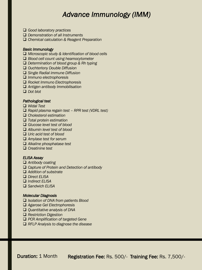## *Advance Immunology (IMM)*

- q *Good laboratory practices*
- q *Demonstration of all Instruments*
- **□** Chemical calculation & Reagent Preparation

#### *Basic Immunology*

- q *Microscopic study & Identification of blood cells*
- □ *Blood cell count using heamocytometer*
- q *Determination of blood group & Rh typing*
- q *Ouchterlony Double Diffusion*
- q *Single Radial immune Diffusion*
- q *Immuno electrophoresis*
- q *Rocket Immuno Electrophoresis*
- q *Antigen antibody Immobilisation*
- q *Dot blot*

#### *Pathological test*

- q *Widal Test*
- q *Rapid plasma regain test – RPR test (VDRL test)*
- q *Cholesterol estimation*
- q *Total protein estimation*
- □ *Glucose level test of blood*
- □ *Albumin level test of blood*
- □ *Uric acid test of blood*
- q *Amylase test for serum*
- q *Alkaline phosphatase test*
- q *Creatinine test*

#### *ELISA Assay*

- □ Antibody coating
- □ *Capture of Protein and Detection of antibody*
- □ *Addition of substrate*
- q *Direct ELISA*
- q *Indirect ELISA*
- q *Sandwich ELISA*

#### *Molecular Diagnosis*

- q *Isolation of DNA from patients Blood*
- q *Agarose Gel Electrophoresis*
- q *Quantitative analysis of DNA*
- q *Restriction Digestion*
- q *PCR Amplification of targeted Gene*
- q *RFLP Analysis to diagnose the disease*

Duration: 1 Month Registration Fee: Rs. 500/- Training Fee: Rs. 7,500/-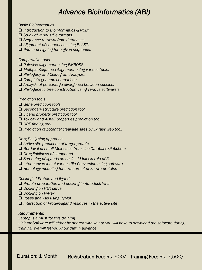## *Advance Bioinformatics (ABI)*

*Basic Bioinformatics*

- q *Introduction to Bioinformatics & NCBI.*
- □ *Study of various file formats.*
- □ Sequence retrieval from databases.
- □ Alignment of sequences using BLAST.
- **□** Primer designing for a given sequence.

*Comparative tools*

- □ *Pairwise alignment using EMBOSS.*
- □ *Multiple Sequence Alignment using various tools.*
- □ *Phylogeny and Cladogram Analysis.*
- □ *Complete genome comparison.*
- q *Analysis of percentage divergence between species.*
- □ *Phylogenetic tree construction using various software's*

#### *Prediction tools*

- **Q** Gene prediction tools.
- **□** Secondary structure prediction tool.
- □ *Ligand property prediction tool.*
- □ *Toxicity and ADME properties prediction tool.*
- □ ORF finding tool.
- □ *Prediction of potential cleavage sites by ExPasy web tool.*

#### *Drug Designing approach*

- □ Active site prediction of target protein.
- □ Retrieval of small Molecules from zinc Database/Pubchem
- q *Drug linkliness of compound*
- □ Screening of ligands on basis of Lipinski rule of 5
- □ Inter conversion of various file Conversion using software
- □ Homology modeling for structure of unknown proteins

#### *Docking of Protein and ligand*

- q *Protein preparation and docking in Autodock Vina*
- **□** *Docking on HEX server*
- □ *Docking on PyRex*
- q *Poses analysis using PyMol*
- □ *Interaction of Protein-ligand residues in the active site*

#### *Requirements:*

*Laptop is a must for this training.*

*Link for Software will either be shared with you or you will have to download the software during training. We will let you know that in advance.*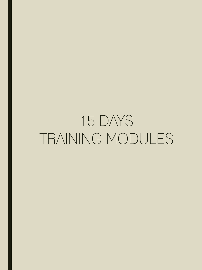## 15 DAYS TRAINING MODULES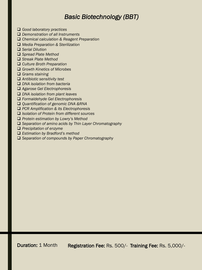## *Basic Biotechnology (BBT)*

- **□** Good laboratory practices
- q *Demonstration of all Instruments*
- **□** Chemical calculation & Reagent Preparation
- q *Media Preparation & Sterilization*
- q *Serial Dilution*
- □ *Spread Plate Method*
- □ *Streak Plate Method*
- **□ Culture Broth Preparation**
- q *Growth Kinetics of Microbes*
- q *Grams staining*
- q *Antibiotic sensitivity test*
- q *DNA isolation from bacteria*
- q *Agarose Gel Electrophoresis*
- □ *DNA isolation from plant leaves*
- q *Formaldehyde Gel Electrophoresis*
- □ *Quantification of genomic DNA &RNA*
- q *PCR Amplification & its Electrophoresis*
- □ *Isolation of Protein from different sources*
- □ Protein estimation by Lowry's Method
- □ Separation of amino acids by Thin Layer Chromatography
- **Q** Precipitation of enzyme
- □ *Estimation by Bradford's method*
- □ Separation of compounds by Paper Chromatography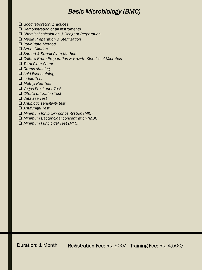### *Basic Microbiology (BMC)*

- q *Good laboratory practices*
- q *Demonstration of all Instruments*
- □ Chemical calculation & Reagent Preparation
- q *Media Preparation & Sterilization*
- □ *Pour Plate Method*
- q *Serial Dilution*
- q *Spread & Streak Plate Method*
- □ Culture Broth Preparation & Growth Kinetics of Microbes
- q *Total Plate Count*
- q *Grams staining*
- q *Acid Fast staining*
- q *Indole Test*
- q *Methyl Red Test*
- q *Voges Proskauer Test*
- q *Citrate utilization Test*
- q *Catalase Test*
- q *Antibiotic sensitivity test*
- q *Antifungal Test*
- □ *Minimum Inhibitory concentration (MIC)*
- q *Minimum Bactericidal concentration (MBC)*
- □ *Minimum Fungicidal Test (MFC)*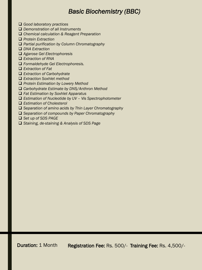## *Basic Biochemistry (BBC)*

- q *Good laboratory practices*
- q *Demonstration of all Instruments*
- □ Chemical calculation & Reagent Preparation
- q *Protein Extraction*
- □ *Partial purification by Column Chromatography*
- □ *DNA Extraction*
- q *Agarose Gel Electrophoresis*
- □ *Extraction of RNA*
- q *Formaldehyde Gel Electrophoresis.*
- □ *Extraction of Fat*
- □ *Extraction of Carbohydrate*
- q *Extraction Soxhlet method*
- q *Protein Estimation by Lowery Method*
- q *Carbohydrate Estimate by DNS/Anthron Method*
- q *Fat Estimation by Soxhlet Apparatus*
- q *Estimation of Nucleotide by UV – Vis Spectrophotometer*
- q *Estimation of Cholesterol*
- □ Separation of amino acids by Thin Layer Chromatography
- □ Separation of compounds by Paper Chromatography
- q *Set up of SDS PAGE*
- □ *Staining, de-staining & Analysis of SDS Page*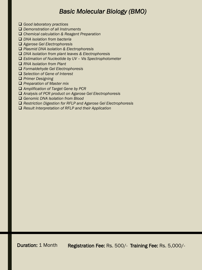### *Basic Molecular Biology (BMO)*

- q *Good laboratory practices*
- q *Demonstration of all Instruments*
- q *Chemical calculation & Reagent Preparation*
- q *DNA isolation from bacteria*
- q *Agarose Gel Electrophoresis*
- q *Plasmid DNA isolation & Electrophoresis*
- q *DNA isolation from plant leaves & Electrophoresis*
- q *Estimation of Nucleotide by UV – Vis Spectrophotometer*
- □ RNA *Isolation from Plant*
- q *Formaldehyde Gel Electrophoresis*
- q *Selection of Gene of Interest*
- **Q** *Primer Designing*
- □ *Preparation of Master mix*
- q *Amplification of Target Gene by PCR*
- q *Analysis of PCR product on Agarose Gel Electrophoresis*
- □ Genomic DNA Isolation from Blood
- □ Restriction Digestion for RFLP and Agarose Gel Electrophoresis
- □ Result Interpretation of RFLP and their Application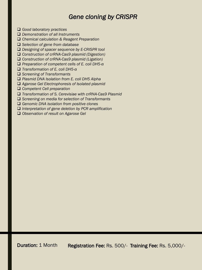## *Gene cloning by CRISPR*

- **□** Good laboratory practices
- □ *Demonstration of all Instruments*
- **□** Chemical calculation & Reagent Preparation
- □ Selection of gene from database
- □ *Designing of spacer sequence by E-CRISPR tool*
- □ Construction of crRNA-Cas9 plasmid (Digestion)
- □ Construction of crRNA-Cas9 plasmid (Ligation)
- q *Preparation of competent cells of E. coli DH5-α*
- q *Transformation of E. coli DH5-α*
- q *Screening of Transformants*
- □ Plasmid DNA Isolation from E. coli DH5 Alpha
- q *Agarose Gel Electrophoresis of Isolated plasmid*
- **□** Competent Cell preparation
- □ *Transformation of S. Cerevisiae with crRNA-Cas9 Plasmid*
- □ Screening on media for selection of Transformants
- **□ Genomic DNA isolation from positive clones**
- q *Interpretation of gene deletion by PCR amplification*
- □ Observation of result on Agarose Gel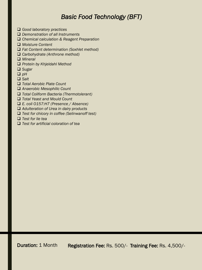## *Basic Food Technology (BFT)*

- q *Good laboratory practices*
- q *Demonstration of all Instruments*
- □ Chemical calculation & Reagent Preparation
- □ Moisture Content
- □ *Fat Content determination (Soxhlet method)*
- q *Carbohydrate (Anthrone method)*
- q *Mineral*
- q *Protein by Khjeldahl Method*
- □ *Sugar*
- $\Box$  *pH*
- □ Salt
- q *Total Aerobic Plate Count*
- □ Anaerobic Mesophilic Count
- q *Total Coliform Bacteria (Thermotolerant)*
- q *Total Yeast and Mould Count*
- q *E. coli O157:H7 (Presence / Absence)*
- q *Adulteration of Urea in dairy products*
- q *Test for chicory in coffee (Selinwanoff test)*
- q *Test for lie tea*
- q *Test for artificial coloration of tea*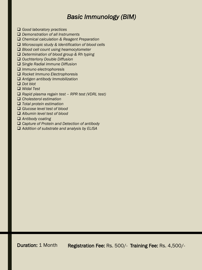## *Basic Immunology (BIM)*

- q *Good laboratory practices*
- □ *Demonstration of all Instruments*
- q *Chemical calculation & Reagent Preparation*
- □ *Microscopic study & Identification of blood cells*
- □ *Blood cell count using heamocytometer*
- □ *Determination of blood group & Rh typing*
- q *Ouchterlony Double Diffusion*
- q *Single Radial immune Diffusion*
- q *Immuno electrophoresis*
- q *Rocket Immuno Electrophoresis*
- q *Antigen antibody Immobilization*
- q *Dot blot*
- q *Widal Test*
- q *Rapid plasma regain test – RPR test (VDRL test)*
- q *Cholesterol estimation*
- q *Total protein estimation*
- q *Glucose level test of blood*
- □ Albumin level test of blood
- □ Antibody coating
- □ *Capture of Protein and Detection of antibody*
- □ Addition of substrate and analysis by ELISA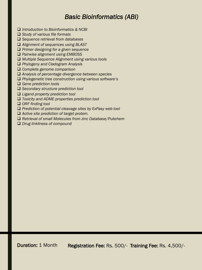## *Basic Bioinformatics (ABI)*

- **□** *Introduction to Bioinformatics & NCBI*
- □ *Study of various file formats*
- q *Sequence retrieval from databases*
- □ Alignment of sequences using BLAST
- **□** Primer designing for a given sequence
- □ *Pairwise alignment using EMBOSS*
- □ *Multiple Sequence Alignment using various tools*
- q *Phylogeny and Cladogram Analysis*
- **□ Complete genome comparison**
- □ Analysis of percentage divergence between species
- □ Phylogenetic tree construction using various software's
- □ Gene prediction tools
- **□** Secondary structure prediction tool
- □ *Ligand property prediction tool*
- □ *Toxicity and ADME properties prediction tool*
- q *ORF finding tool*
- □ Prediction of potential cleavage sites by ExPasy web tool
- □ Active site prediction of target protein.
- □ Retrieval of small Molecules from zinc Database/Pubchem
- **□** *Drug linkliness of compound*